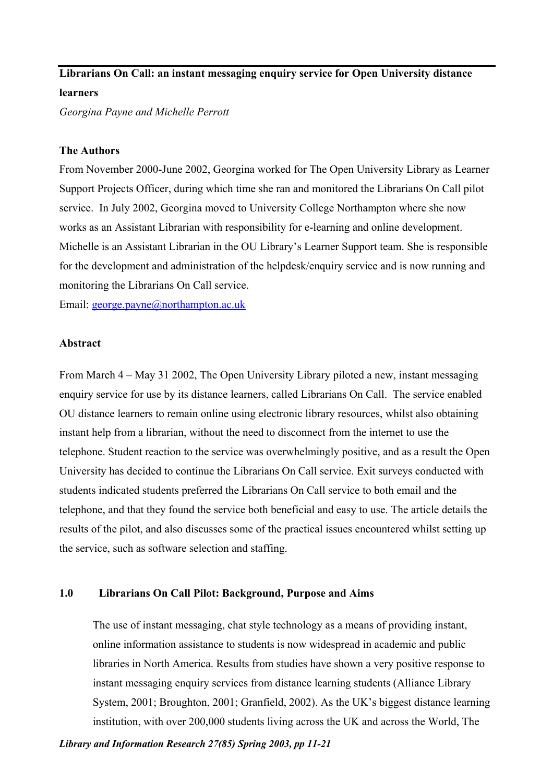# **Librarians On Call: an instant messaging enquiry service for Open University distance learners**

*Georgina Payne and Michelle Perrott* 

### **The Authors**

From November 2000-June 2002, Georgina worked for The Open University Library as Learner Support Projects Officer, during which time she ran and monitored the Librarians On Call pilot service. In July 2002, Georgina moved to University College Northampton where she now works as an Assistant Librarian with responsibility for e-learning and online development. Michelle is an Assistant Librarian in the OU Library's Learner Support team. She is responsible for the development and administration of the helpdesk/enquiry service and is now running and monitoring the Librarians On Call service.

Email: [george.payne@northampton.ac.uk](mailto:george.payne@northampton.ac.uk)

### **Abstract**

From March 4 – May 31 2002, The Open University Library piloted a new, instant messaging enquiry service for use by its distance learners, called Librarians On Call. The service enabled OU distance learners to remain online using electronic library resources, whilst also obtaining instant help from a librarian, without the need to disconnect from the internet to use the telephone. Student reaction to the service was overwhelmingly positive, and as a result the Open University has decided to continue the Librarians On Call service. Exit surveys conducted with students indicated students preferred the Librarians On Call service to both email and the telephone, and that they found the service both beneficial and easy to use. The article details the results of the pilot, and also discusses some of the practical issues encountered whilst setting up the service, such as software selection and staffing.

#### **1.0 Librarians On Call Pilot: Background, Purpose and Aims**

The use of instant messaging, chat style technology as a means of providing instant, online information assistance to students is now widespread in academic and public libraries in North America. Results from studies have shown a very positive response to instant messaging enquiry services from distance learning students (Alliance Library System, 2001; Broughton, 2001; Granfield, 2002). As the UK's biggest distance learning institution, with over 200,000 students living across the UK and across the World, The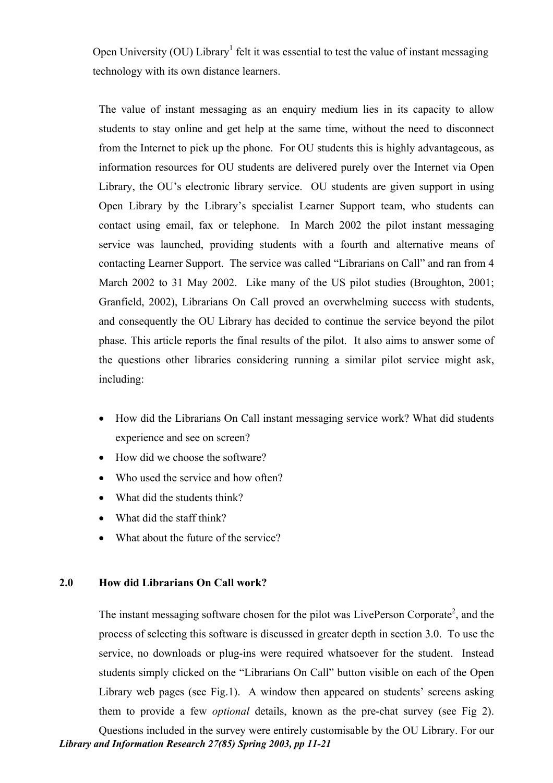Open University (OU) Library<sup>1</sup> felt it was essential to test the value of instant messaging technology with its own distance learners.

The value of instant messaging as an enquiry medium lies in its capacity to allow students to stay online and get help at the same time, without the need to disconnect from the Internet to pick up the phone. For OU students this is highly advantageous, as information resources for OU students are delivered purely over the Internet via Open Library, the OU's electronic library service. OU students are given support in using Open Library by the Library's specialist Learner Support team, who students can contact using email, fax or telephone. In March 2002 the pilot instant messaging service was launched, providing students with a fourth and alternative means of contacting Learner Support. The service was called "Librarians on Call" and ran from 4 March 2002 to 31 May 2002. Like many of the US pilot studies (Broughton, 2001; Granfield, 2002), Librarians On Call proved an overwhelming success with students, and consequently the OU Library has decided to continue the service beyond the pilot phase. This article reports the final results of the pilot. It also aims to answer some of the questions other libraries considering running a similar pilot service might ask, including:

- How did the Librarians On Call instant messaging service work? What did students experience and see on screen?
- How did we choose the software?
- Who used the service and how often?
- What did the students think?
- What did the staff think?
- What about the future of the service?

## **2.0 How did Librarians On Call work?**

The instant messaging software chosen for the pilot was LivePerson Corporate<sup>2</sup>, and the process of selecting this software is discussed in greater depth in section 3.0. To use the service, no downloads or plug-ins were required whatsoever for the student. Instead students simply clicked on the "Librarians On Call" button visible on each of the Open Library web pages (see Fig.1). A window then appeared on students' screens asking them to provide a few *optional* details, known as the pre-chat survey (see Fig 2).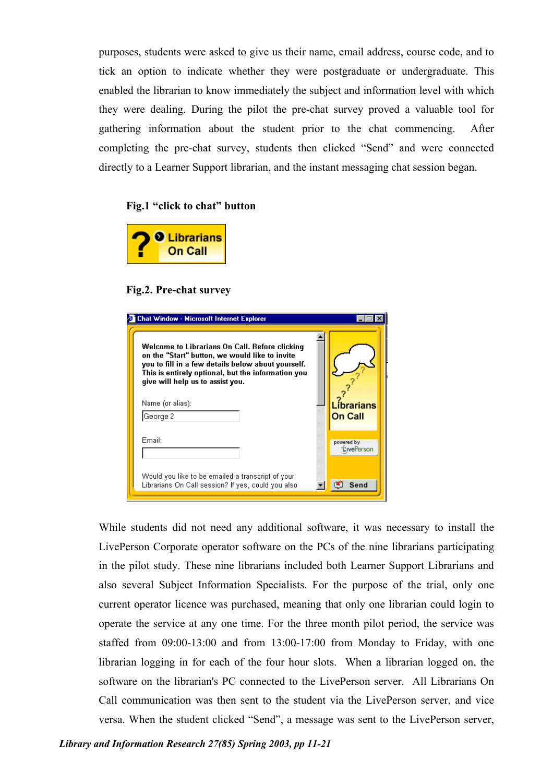purposes, students were asked to give us their name, email address, course code, and to tick an option to indicate whether they were postgraduate or undergraduate. This enabled the librarian to know immediately the subject and information level with which they were dealing. During the pilot the pre-chat survey proved a valuable tool for gathering information about the student prior to the chat commencing. After completing the pre-chat survey, students then clicked "Send" and were connected directly to a Learner Support librarian, and the instant messaging chat session began.

#### **Fig.1 "click to chat" button**



### **Fig.2. Pre-chat survey**

| <b>Chat Window - Microsoft Internet Explorer</b><br>Welcome to Librarians On Call. Before clicking<br>on the "Start" button, we would like to invite<br>you to fill in a few details below about yourself.<br>This is entirely optional, but the information you<br>give will help us to assist you. |                                   |
|------------------------------------------------------------------------------------------------------------------------------------------------------------------------------------------------------------------------------------------------------------------------------------------------------|-----------------------------------|
| Name (or alias):<br>George 2                                                                                                                                                                                                                                                                         | <b>Librarians</b><br>On Call      |
| Email:                                                                                                                                                                                                                                                                                               | powered by<br>* <i>LivePerson</i> |
| Would you like to be emailed a transcript of your<br>Librarians On Call session? If yes, could you also                                                                                                                                                                                              | Send                              |

While students did not need any additional software, it was necessary to install the LivePerson Corporate operator software on the PCs of the nine librarians participating in the pilot study. These nine librarians included both Learner Support Librarians and also several Subject Information Specialists. For the purpose of the trial, only one current operator licence was purchased, meaning that only one librarian could login to operate the service at any one time. For the three month pilot period, the service was staffed from 09:00-13:00 and from 13:00-17:00 from Monday to Friday, with one librarian logging in for each of the four hour slots. When a librarian logged on, the software on the librarian's PC connected to the LivePerson server. All Librarians On Call communication was then sent to the student via the LivePerson server, and vice versa. When the student clicked "Send", a message was sent to the LivePerson server,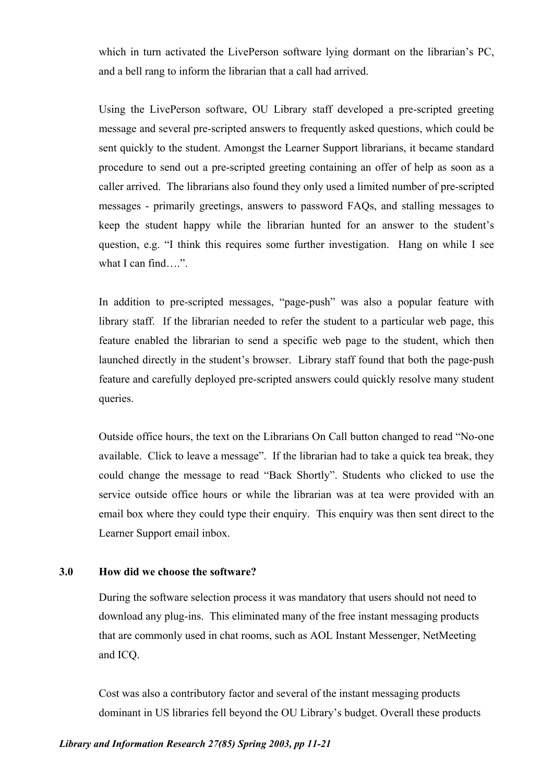which in turn activated the LivePerson software lying dormant on the librarian's PC, and a bell rang to inform the librarian that a call had arrived.

Using the LivePerson software, OU Library staff developed a pre-scripted greeting message and several pre-scripted answers to frequently asked questions, which could be sent quickly to the student. Amongst the Learner Support librarians, it became standard procedure to send out a pre-scripted greeting containing an offer of help as soon as a caller arrived. The librarians also found they only used a limited number of pre-scripted messages - primarily greetings, answers to password FAQs, and stalling messages to keep the student happy while the librarian hunted for an answer to the student's question, e.g. "I think this requires some further investigation. Hang on while I see what I can find….".

In addition to pre-scripted messages, "page-push" was also a popular feature with library staff. If the librarian needed to refer the student to a particular web page, this feature enabled the librarian to send a specific web page to the student, which then launched directly in the student's browser. Library staff found that both the page-push feature and carefully deployed pre-scripted answers could quickly resolve many student queries.

Outside office hours, the text on the Librarians On Call button changed to read "No-one available. Click to leave a message". If the librarian had to take a quick tea break, they could change the message to read "Back Shortly". Students who clicked to use the service outside office hours or while the librarian was at tea were provided with an email box where they could type their enquiry. This enquiry was then sent direct to the Learner Support email inbox.

#### **3.0 How did we choose the software?**

During the software selection process it was mandatory that users should not need to download any plug-ins. This eliminated many of the free instant messaging products that are commonly used in chat rooms, such as AOL Instant Messenger, NetMeeting and ICQ[.](http://www.aol.co.uk/aim/)

Cost was also a contributory factor and several of the instant messaging products dominant in US libraries fell beyond the OU Library's budget. Overall these products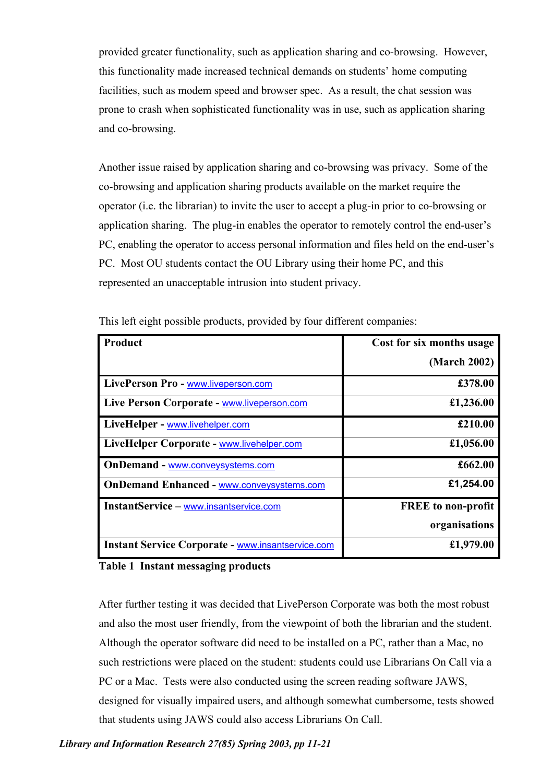provided greater functionality, such as application sharing and co-browsing. However, this functionality made increased technical demands on students' home computing facilities, such as modem speed and browser spec. As a result, the chat session was prone to crash when sophisticated functionality was in use, such as application sharing and co-browsing.

Another issue raised by application sharing and co-browsing was privacy. Some of the co-browsing and application sharing products available on the market require the operator (i.e. the librarian) to invite the user to accept a plug-in prior to co-browsing or application sharing. The plug-in enables the operator to remotely control the end-user's PC, enabling the operator to access personal information and files held on the end-user's PC. Most OU students contact the OU Library using their home PC, and this represented an unacceptable intrusion into student privacy.

| Product                                                  | Cost for six months usage |
|----------------------------------------------------------|---------------------------|
|                                                          |                           |
|                                                          | (March 2002)              |
|                                                          |                           |
| LivePerson Pro - www.liveperson.com                      | £378.00                   |
| Live Person Corporate - www.liveperson.com               | £1,236.00                 |
| LiveHelper - www.livehelper.com                          | £210.00                   |
| LiveHelper Corporate - www.livehelper.com                | £1,056.00                 |
| OnDemand - www.conveysystems.com                         | £662.00                   |
| <b>OnDemand Enhanced - www.conveysystems.com</b>         | £1,254.00                 |
| InstantService - www.insantservice.com                   | <b>FREE</b> to non-profit |
|                                                          | organisations             |
| <b>Instant Service Corporate - www.insantservice.com</b> | £1,979.00                 |

This left eight possible products, provided by four different companies:

## **Table 1 Instant messaging products**

After further testing it was decided that LivePerson Corporate was both the most robust and also the most user friendly, from the viewpoint of both the librarian and the student. Although the operator software did need to be installed on a PC, rather than a Mac, no such restrictions were placed on the student: students could use Librarians On Call via a PC or a Mac. Tests were also conducted using the screen reading software JAWS, designed for visually impaired users, and although somewhat cumbersome, tests showed that students using JAWS could also access Librarians On Call.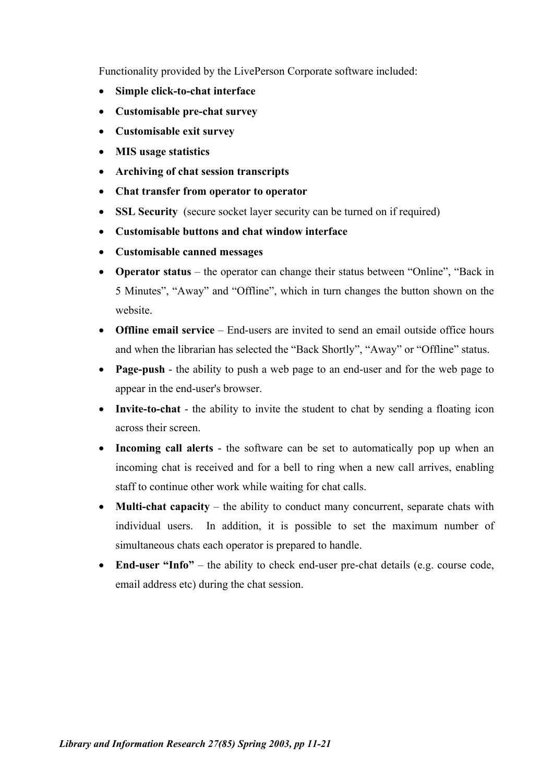Functionality provided by the LivePerson Corporate software included:

- **Simple click-to-chat interface**
- **Customisable pre-chat survey**
- **Customisable exit survey**
- **MIS usage statistics**
- **Archiving of chat session transcripts**
- **Chat transfer from operator to operator**
- **SSL Security** (secure socket layer security can be turned on if required)
- **Customisable buttons and chat window interface**
- **Customisable canned messages**
- **Operator status** the operator can change their status between "Online", "Back in 5 Minutes", "Away" and "Offline", which in turn changes the button shown on the website.
- **Offline email service** End-users are invited to send an email outside office hours and when the librarian has selected the "Back Shortly", "Away" or "Offline" status.
- **Page-push** the ability to push a web page to an end-user and for the web page to appear in the end-user's browser.
- **Invite-to-chat** the ability to invite the student to chat by sending a floating icon across their screen.
- **Incoming call alerts** the software can be set to automatically pop up when an incoming chat is received and for a bell to ring when a new call arrives, enabling staff to continue other work while waiting for chat calls.
- **Multi-chat capacity** the ability to conduct many concurrent, separate chats with individual users. In addition, it is possible to set the maximum number of simultaneous chats each operator is prepared to handle.
- **End-user "Info"** the ability to check end-user pre-chat details (e.g. course code, email address etc) during the chat session.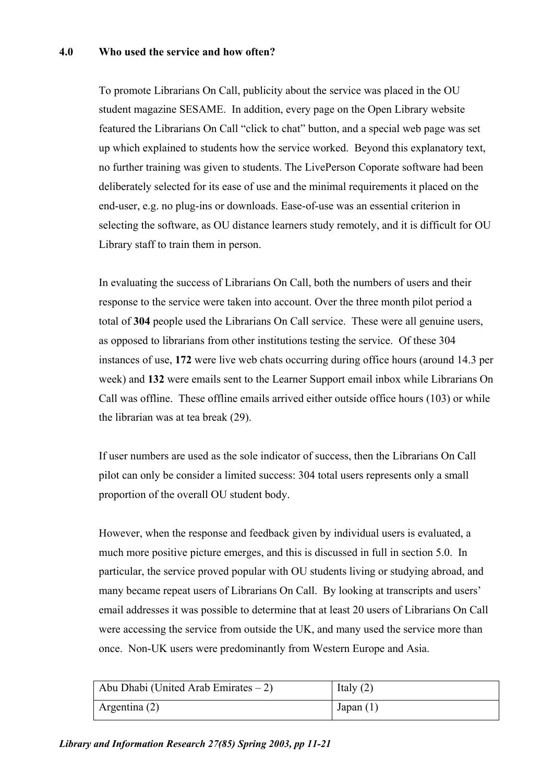## **4.0 Who used the service and how often?**

To promote Librarians On Call, publicity about the service was placed in the OU student magazine SESAME. In addition, every page on the Open Library website featured the Librarians On Call "click to chat" button, and a special web page was set up which explained to students how the service worked. Beyond this explanatory text, no further training was given to students. The LivePerson Coporate software had been deliberately selected for its ease of use and the minimal requirements it placed on the end-user, e.g. no plug-ins or downloads. Ease-of-use was an essential criterion in selecting the software, as OU distance learners study remotely, and it is difficult for OU Library staff to train them in person.

In evaluating the success of Librarians On Call, both the numbers of users and their response to the service were taken into account. Over the three month pilot period a total of **304** people used the Librarians On Call service. These were all genuine users, as opposed to librarians from other institutions testing the service. Of these 304 instances of use, **172** were live web chats occurring during office hours (around 14.3 per week) and **132** were emails sent to the Learner Support email inbox while Librarians On Call was offline. These offline emails arrived either outside office hours (103) or while the librarian was at tea break (29).

If user numbers are used as the sole indicator of success, then the Librarians On Call pilot can only be consider a limited success: 304 total users represents only a small proportion of the overall OU student body.

However, when the response and feedback given by individual users is evaluated, a much more positive picture emerges, and this is discussed in full in section 5.0. In particular, the service proved popular with OU students living or studying abroad, and many became repeat users of Librarians On Call. By looking at transcripts and users' email addresses it was possible to determine that at least 20 users of Librarians On Call were accessing the service from outside the UK, and many used the service more than once. Non-UK users were predominantly from Western Europe and Asia.

| Abu Dhabi (United Arab Emirates $-2$ ) | Italy $(2)$ |
|----------------------------------------|-------------|
| Argentina (2)                          | Japan $(1)$ |

*Library and Information Research 27(85) Spring 2003, pp 11-21*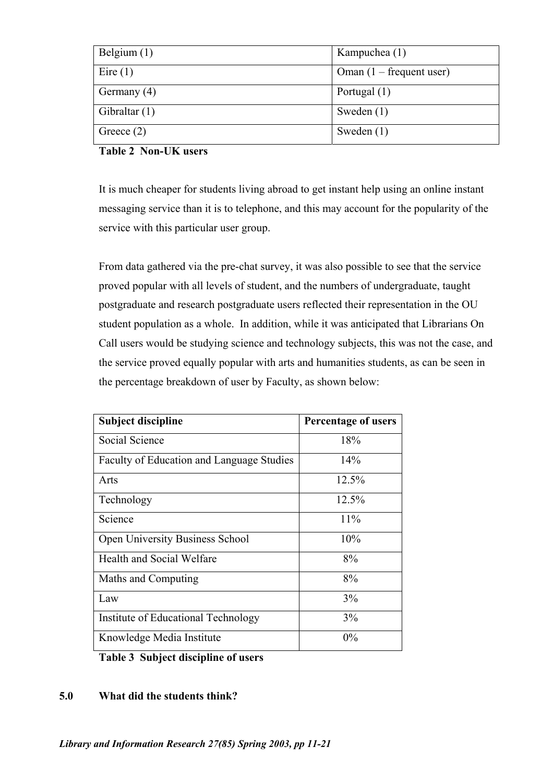| Belgium $(1)$ | Kampuchea (1)                     |
|---------------|-----------------------------------|
| Eire $(1)$    | Oman $(1 - \text{frequent user})$ |
| Germany (4)   | Portugal (1)                      |
| Gibraltar (1) | Sweden $(1)$                      |
| Greece $(2)$  | Sweden $(1)$                      |

### **Table 2 Non-UK users**

It is much cheaper for students living abroad to get instant help using an online instant messaging service than it is to telephone, and this may account for the popularity of the service with this particular user group.

From data gathered via the pre-chat survey, it was also possible to see that the service proved popular with all levels of student, and the numbers of undergraduate, taught postgraduate and research postgraduate users reflected their representation in the OU student population as a whole. In addition, while it was anticipated that Librarians On Call users would be studying science and technology subjects, this was not the case, and the service proved equally popular with arts and humanities students, as can be seen in the percentage breakdown of user by Faculty, as shown below:

| <b>Subject discipline</b>                        | <b>Percentage of users</b> |
|--------------------------------------------------|----------------------------|
| Social Science                                   | 18%                        |
| <b>Faculty of Education and Language Studies</b> | 14%                        |
| Arts                                             | 12.5%                      |
| Technology                                       | 12.5%                      |
| Science                                          | 11%                        |
| <b>Open University Business School</b>           | 10%                        |
| Health and Social Welfare                        | 8%                         |
| Maths and Computing                              | 8%                         |
| Law                                              | 3%                         |
| Institute of Educational Technology              | 3%                         |
| Knowledge Media Institute                        | $0\%$                      |

**Table 3 Subject discipline of users** 

## **5.0 What did the students think?**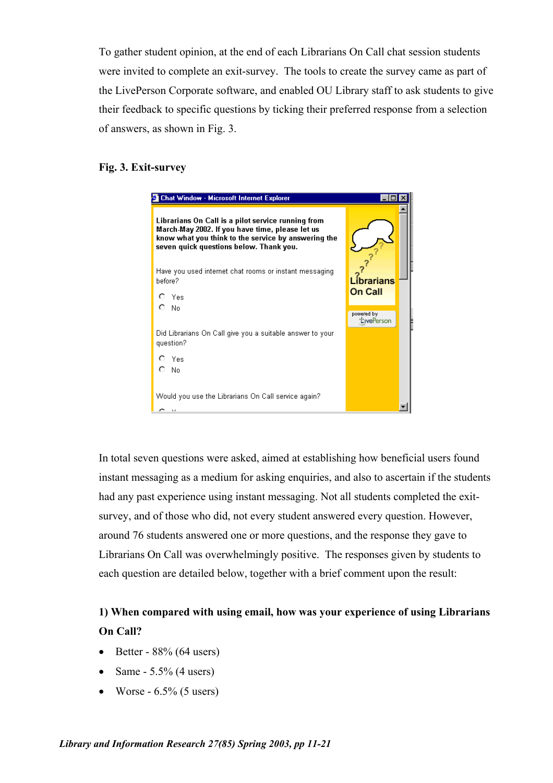To gather student opinion, at the end of each Librarians On Call chat session students were invited to complete an exit-survey. The tools to create the survey came as part of the LivePerson Corporate software, and enabled OU Library staff to ask students to give their feedback to specific questions by ticking their preferred response from a selection of answers, as shown in Fig. 3.

### **Fig. 3. Exit-survey**



In total seven questions were asked, aimed at establishing how beneficial users found instant messaging as a medium for asking enquiries, and also to ascertain if the students had any past experience using instant messaging. Not all students completed the exitsurvey, and of those who did, not every student answered every question. However, around 76 students answered one or more questions, and the response they gave to Librarians On Call was overwhelmingly positive. The responses given by students to each question are detailed below, together with a brief comment upon the result:

# **1) When compared with using email, how was your experience of using Librarians On Call?**

- Better  $88\%$  (64 users)
- Same 5.5% (4 users)
- Worse  $6.5\%$  (5 users)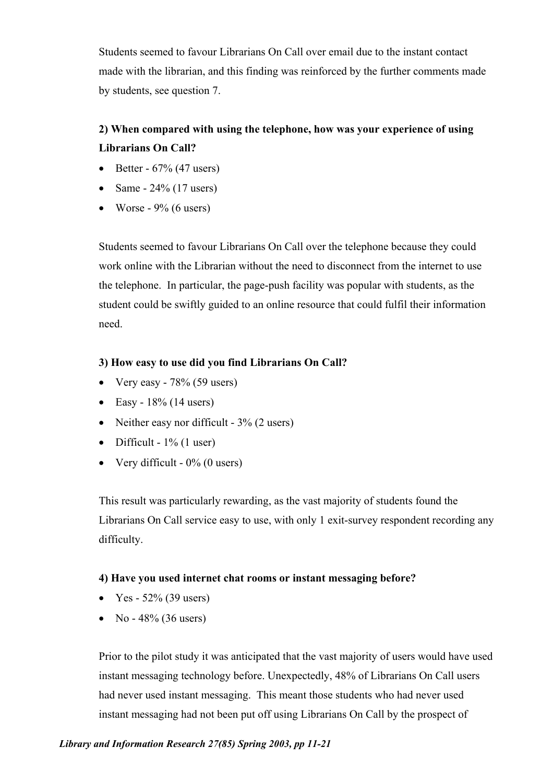Students seemed to favour Librarians On Call over email due to the instant contact made with the librarian, and this finding was reinforced by the further comments made by students, see question 7.

# **2) When compared with using the telephone, how was your experience of using Librarians On Call?**

- Better  $67\%$  (47 users)
- Same  $24\%$  (17 users)
- Worse  $9\%$  (6 users)

Students seemed to favour Librarians On Call over the telephone because they could work online with the Librarian without the need to disconnect from the internet to use the telephone. In particular, the page-push facility was popular with students, as the student could be swiftly guided to an online resource that could fulfil their information need.

# **3) How easy to use did you find Librarians On Call?**

- Very easy  $78\%$  (59 users)
- Easy  $18\%$  (14 users)
- Neither easy nor difficult  $-3\%$  (2 users)
- Difficult  $1\%$  (1 user)
- Very difficult  $0\%$  (0 users)

This result was particularly rewarding, as the vast majority of students found the Librarians On Call service easy to use, with only 1 exit-survey respondent recording any difficulty.

# **4) Have you used internet chat rooms or instant messaging before?**

- Yes  $52\%$  (39 users)
- No  $48\%$  (36 users)

Prior to the pilot study it was anticipated that the vast majority of users would have used instant messaging technology before. Unexpectedly, 48% of Librarians On Call users had never used instant messaging. This meant those students who had never used instant messaging had not been put off using Librarians On Call by the prospect of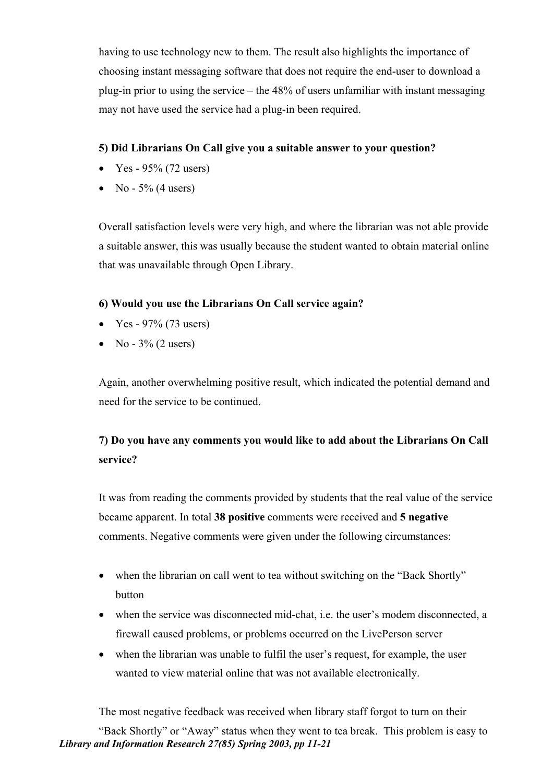having to use technology new to them. The result also highlights the importance of choosing instant messaging software that does not require the end-user to download a plug-in prior to using the service – the 48% of users unfamiliar with instant messaging may not have used the service had a plug-in been required.

## **5) Did Librarians On Call give you a suitable answer to your question?**

- Yes  $95\%$  (72 users)
- No  $5\%$  (4 users)

Overall satisfaction levels were very high, and where the librarian was not able provide a suitable answer, this was usually because the student wanted to obtain material online that was unavailable through Open Library.

## **6) Would you use the Librarians On Call service again?**

- Yes  $97\%$  (73 users)
- No  $3\%$  (2 users)

Again, another overwhelming positive result, which indicated the potential demand and need for the service to be continued.

# **7) Do you have any comments you would like to add about the Librarians On Call service?**

It was from reading the comments provided by students that the real value of the service became apparent. In total **38 positive** comments were received and **5 negative** comments. Negative comments were given under the following circumstances:

- when the librarian on call went to tea without switching on the "Back Shortly" button
- when the service was disconnected mid-chat, i.e. the user's modem disconnected, a firewall caused problems, or problems occurred on the LivePerson server
- when the librarian was unable to fulfil the user's request, for example, the user wanted to view material online that was not available electronically.

The most negative feedback was received when library staff forgot to turn on their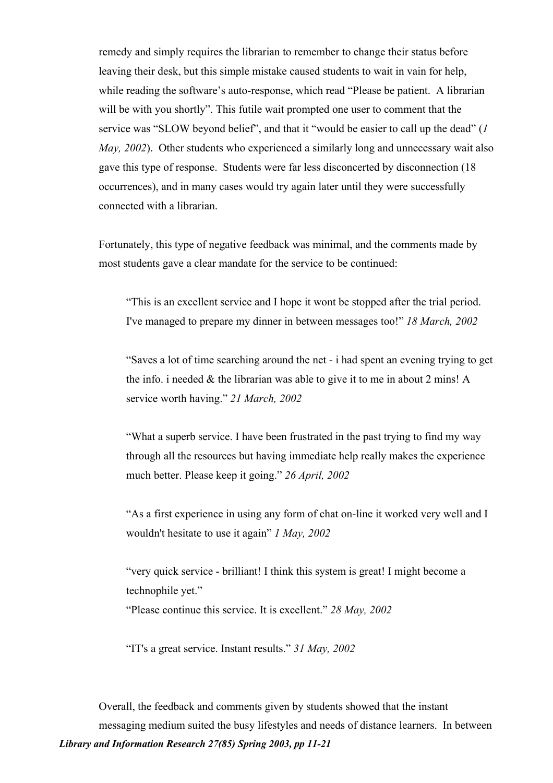remedy and simply requires the librarian to remember to change their status before leaving their desk, but this simple mistake caused students to wait in vain for help, while reading the software's auto-response, which read "Please be patient. A librarian will be with you shortly". This futile wait prompted one user to comment that the service was "SLOW beyond belief", and that it "would be easier to call up the dead" (*1 May, 2002*). Other students who experienced a similarly long and unnecessary wait also gave this type of response. Students were far less disconcerted by disconnection (18 occurrences), and in many cases would try again later until they were successfully connected with a librarian.

Fortunately, this type of negative feedback was minimal, and the comments made by most students gave a clear mandate for the service to be continued:

"This is an excellent service and I hope it wont be stopped after the trial period. I've managed to prepare my dinner in between messages too!" *18 March, 2002*

"Saves a lot of time searching around the net - i had spent an evening trying to get the info. i needed  $&$  the librarian was able to give it to me in about 2 mins! A service worth having." *21 March, 2002*

"What a superb service. I have been frustrated in the past trying to find my way through all the resources but having immediate help really makes the experience much better. Please keep it going." *26 April, 2002*

"As a first experience in using any form of chat on-line it worked very well and I wouldn't hesitate to use it again" *1 May, 2002*

"very quick service - brilliant! I think this system is great! I might become a technophile yet." "Please continue this service. It is excellent." *28 May, 2002* 

"IT's a great service. Instant results." *31 May, 2002*

*Library and Information Research 27(85) Spring 2003, pp 11-21* Overall, the feedback and comments given by students showed that the instant messaging medium suited the busy lifestyles and needs of distance learners. In between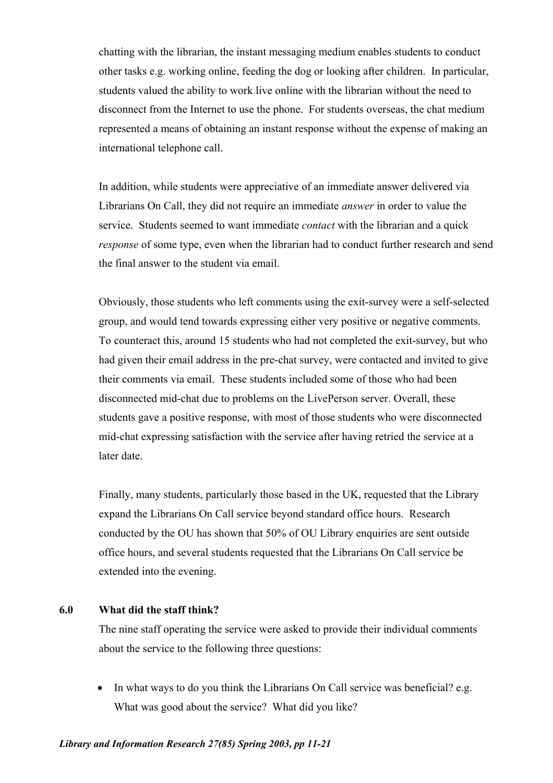chatting with the librarian, the instant messaging medium enables students to conduct other tasks e.g. working online, feeding the dog or looking after children. In particular, students valued the ability to work live online with the librarian without the need to disconnect from the Internet to use the phone. For students overseas, the chat medium represented a means of obtaining an instant response without the expense of making an international telephone call.

In addition, while students were appreciative of an immediate answer delivered via Librarians On Call, they did not require an immediate *answer* in order to value the service. Students seemed to want immediate *contact* with the librarian and a quick *response* of some type, even when the librarian had to conduct further research and send the final answer to the student via email.

Obviously, those students who left comments using the exit-survey were a self-selected group, and would tend towards expressing either very positive or negative comments. To counteract this, around 15 students who had not completed the exit-survey, but who had given their email address in the pre-chat survey, were contacted and invited to give their comments via email. These students included some of those who had been disconnected mid-chat due to problems on the LivePerson server. Overall, these students gave a positive response, with most of those students who were disconnected mid-chat expressing satisfaction with the service after having retried the service at a later date.

Finally, many students, particularly those based in the UK, requested that the Library expand the Librarians On Call service beyond standard office hours. Research conducted by the OU has shown that 50% of OU Library enquiries are sent outside office hours, and several students requested that the Librarians On Call service be extended into the evening.

### **6.0 What did the staff think?**

The nine staff operating the service were asked to provide their individual comments about the service to the following three questions:

• In what ways to do you think the Librarians On Call service was beneficial? e.g. What was good about the service? What did you like?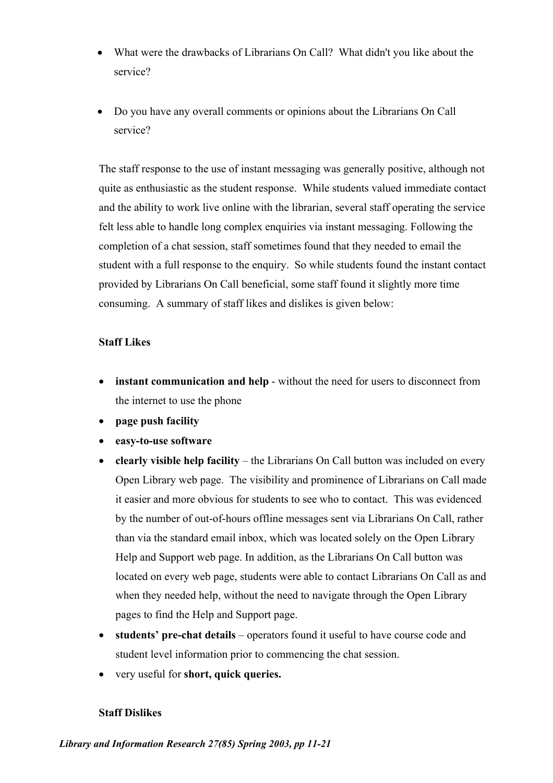- What were the drawbacks of Librarians On Call? What didn't you like about the service?
- Do you have any overall comments or opinions about the Librarians On Call service?

The staff response to the use of instant messaging was generally positive, although not quite as enthusiastic as the student response. While students valued immediate contact and the ability to work live online with the librarian, several staff operating the service felt less able to handle long complex enquiries via instant messaging. Following the completion of a chat session, staff sometimes found that they needed to email the student with a full response to the enquiry. So while students found the instant contact provided by Librarians On Call beneficial, some staff found it slightly more time consuming. A summary of staff likes and dislikes is given below:

### **Staff Likes**

- **instant communication and help** without the need for users to disconnect from the internet to use the phone
- **page push facility**
- **easy-to-use software**
- **clearly visible help facility** the Librarians On Call button was included on every Open Library web page. The visibility and prominence of Librarians on Call made it easier and more obvious for students to see who to contact. This was evidenced by the number of out-of-hours offline messages sent via Librarians On Call, rather than via the standard email inbox, which was located solely on the Open Library Help and Support web page. In addition, as the Librarians On Call button was located on every web page, students were able to contact Librarians On Call as and when they needed help, without the need to navigate through the Open Library pages to find the Help and Support page.
- **students' pre-chat details** operators found it useful to have course code and student level information prior to commencing the chat session.
- very useful for **short, quick queries.**

## **Staff Dislikes**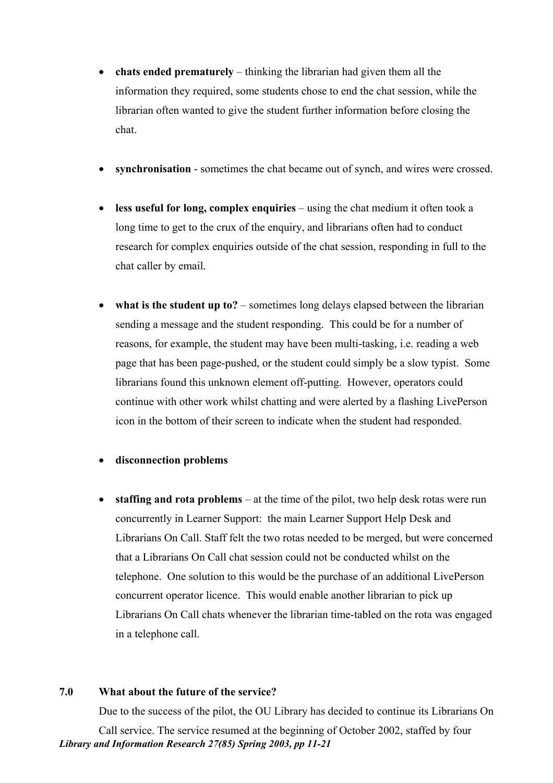- **chats ended prematurely** thinking the librarian had given them all the information they required, some students chose to end the chat session, while the librarian often wanted to give the student further information before closing the chat.
- **synchronisation** sometimes the chat became out of synch, and wires were crossed.
- less useful for long, complex enquiries using the chat medium it often took a long time to get to the crux of the enquiry, and librarians often had to conduct research for complex enquiries outside of the chat session, responding in full to the chat caller by email.
- **what is the student up to?**  sometimes long delays elapsed between the librarian sending a message and the student responding. This could be for a number of reasons, for example, the student may have been multi-tasking, i.e. reading a web page that has been page-pushed, or the student could simply be a slow typist. Some librarians found this unknown element off-putting. However, operators could continue with other work whilst chatting and were alerted by a flashing LivePerson icon in the bottom of their screen to indicate when the student had responded.

## • **disconnection problems**

• **staffing and rota problems** – at the time of the pilot, two help desk rotas were run concurrently in Learner Support: the main Learner Support Help Desk and Librarians On Call. Staff felt the two rotas needed to be merged, but were concerned that a Librarians On Call chat session could not be conducted whilst on the telephone. One solution to this would be the purchase of an additional LivePerson concurrent operator licence. This would enable another librarian to pick up Librarians On Call chats whenever the librarian time-tabled on the rota was engaged in a telephone call.

## **7.0 What about the future of the service?**

Due to the success of the pilot, the OU Library has decided to continue its Librarians On

*Library and Information Research 27(85) Spring 2003, pp 11-21* Call service. The service resumed at the beginning of October 2002, staffed by four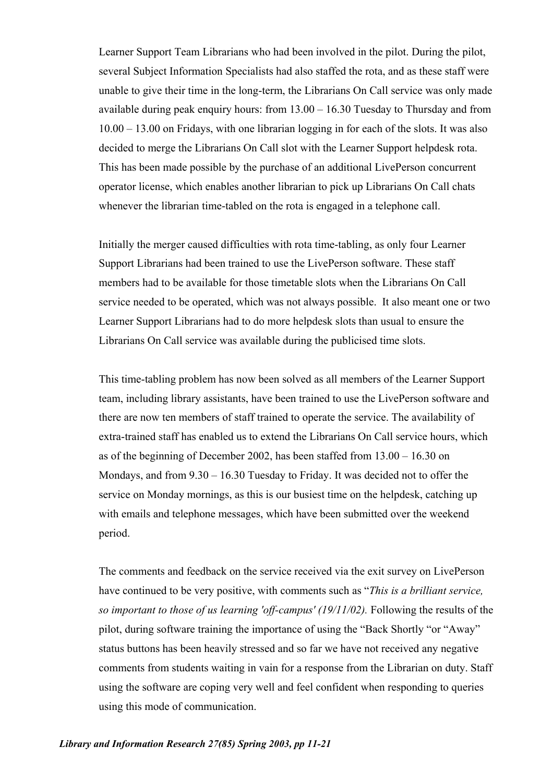Learner Support Team Librarians who had been involved in the pilot. During the pilot, several Subject Information Specialists had also staffed the rota, and as these staff were unable to give their time in the long-term, the Librarians On Call service was only made available during peak enquiry hours: from 13.00 – 16.30 Tuesday to Thursday and from 10.00 – 13.00 on Fridays, with one librarian logging in for each of the slots. It was also decided to merge the Librarians On Call slot with the Learner Support helpdesk rota. This has been made possible by the purchase of an additional LivePerson concurrent operator license, which enables another librarian to pick up Librarians On Call chats whenever the librarian time-tabled on the rota is engaged in a telephone call.

Initially the merger caused difficulties with rota time-tabling, as only four Learner Support Librarians had been trained to use the LivePerson software. These staff members had to be available for those timetable slots when the Librarians On Call service needed to be operated, which was not always possible. It also meant one or two Learner Support Librarians had to do more helpdesk slots than usual to ensure the Librarians On Call service was available during the publicised time slots.

This time-tabling problem has now been solved as all members of the Learner Support team, including library assistants, have been trained to use the LivePerson software and there are now ten members of staff trained to operate the service. The availability of extra-trained staff has enabled us to extend the Librarians On Call service hours, which as of the beginning of December 2002, has been staffed from 13.00 – 16.30 on Mondays, and from 9.30 – 16.30 Tuesday to Friday. It was decided not to offer the service on Monday mornings, as this is our busiest time on the helpdesk, catching up with emails and telephone messages, which have been submitted over the weekend period.

The comments and feedback on the service received via the exit survey on LivePerson have continued to be very positive, with comments such as "*This is a brilliant service, so important to those of us learning 'off-campus' (19/11/02).* Following the results of the pilot, during software training the importance of using the "Back Shortly "or "Away" status buttons has been heavily stressed and so far we have not received any negative comments from students waiting in vain for a response from the Librarian on duty. Staff using the software are coping very well and feel confident when responding to queries using this mode of communication.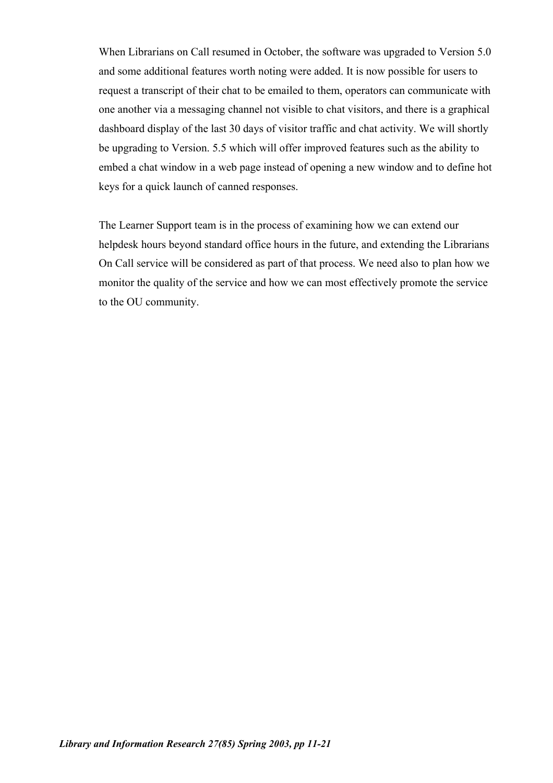When Librarians on Call resumed in October, the software was upgraded to Version 5.0 and some additional features worth noting were added. It is now possible for users to request a transcript of their chat to be emailed to them, operators can communicate with one another via a messaging channel not visible to chat visitors, and there is a graphical dashboard display of the last 30 days of visitor traffic and chat activity. We will shortly be upgrading to Version. 5.5 which will offer improved features such as the ability to embed a chat window in a web page instead of opening a new window and to define hot keys for a quick launch of canned responses.

The Learner Support team is in the process of examining how we can extend our helpdesk hours beyond standard office hours in the future, and extending the Librarians On Call service will be considered as part of that process. We need also to plan how we monitor the quality of the service and how we can most effectively promote the service to the OU community.